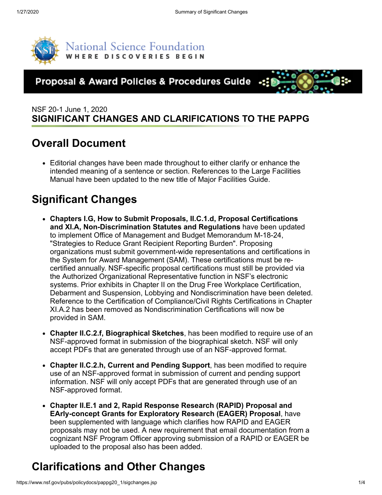

National Science Foundation VHERE DISCOVERIES BEGIN

#### Proposal & Award Policies & Procedures Guide -:



#### NSF 20-1 June 1, 2020 **SIGNIFICANT CHANGES AND CLARIFICATIONS TO THE PAPPG**

### **Overall Document**

Editorial changes have been made throughout to either clarify or enhance the intended meaning of a sentence or section. References to the Large Facilities Manual have been updated to the new title of Major Facilities Guide.

## **Significant Changes**

- **Chapters I.G, How to Submit Proposals, II.C.1.d, Proposal Certifications and XI.A, Non-Discrimination Statutes and Regulations** have been updated to implement Office of Management and Budget Memorandum M-18-24, "Strategies to Reduce Grant Recipient Reporting Burden". Proposing organizations must submit government-wide representations and certifications in the System for Award Management (SAM). These certifications must be recertified annually. NSF-specific proposal certifications must still be provided via the Authorized Organizational Representative function in NSF's electronic systems. Prior exhibits in Chapter II on the Drug Free Workplace Certification, Debarment and Suspension, Lobbying and Nondiscrimination have been deleted. Reference to the Certification of Compliance/Civil Rights Certifications in Chapter XI.A.2 has been removed as Nondiscrimination Certifications will now be provided in SAM.
- **Chapter II.C.2.f, Biographical Sketches**, has been modified to require use of an NSF-approved format in submission of the biographical sketch. NSF will only accept PDFs that are generated through use of an NSF-approved format.
- **Chapter II.C.2.h, Current and Pending Support**, has been modified to require use of an NSF-approved format in submission of current and pending support information. NSF will only accept PDFs that are generated through use of an NSF-approved format.
- **Chapter II.E.1 and 2, Rapid Response Research (RAPID) Proposal and EArly-concept Grants for Exploratory Research (EAGER) Proposal**, have been supplemented with language which clarifies how RAPID and EAGER proposals may not be used. A new requirement that email documentation from a cognizant NSF Program Officer approving submission of a RAPID or EAGER be uploaded to the proposal also has been added.

# **Clarifications and Other Changes**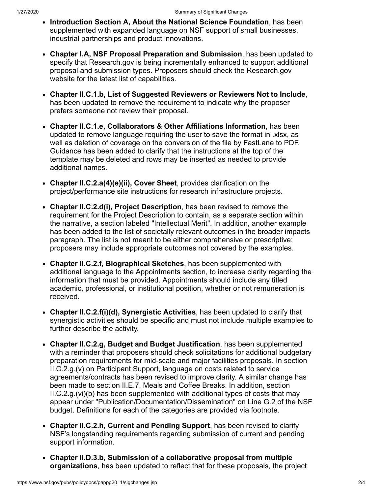- **Introduction Section A, About the National Science Foundation**, has been supplemented with expanded language on NSF support of small businesses, industrial partnerships and product innovations.
- **Chapter I.A, NSF Proposal Preparation and Submission**, has been updated to specify that Research.gov is being incrementally enhanced to support additional proposal and submission types. Proposers should check the Research.gov website for the latest list of capabilities.
- **Chapter II.C.1.b, List of Suggested Reviewers or Reviewers Not to Include**, has been updated to remove the requirement to indicate why the proposer prefers someone not review their proposal.
- **Chapter II.C.1.e, Collaborators & Other Affiliations Information**, has been updated to remove language requiring the user to save the format in .xlsx, as well as deletion of coverage on the conversion of the file by FastLane to PDF. Guidance has been added to clarify that the instructions at the top of the template may be deleted and rows may be inserted as needed to provide additional names.
- **Chapter II.C.2.a(4)(e)(ii), Cover Sheet**, provides clarification on the project/performance site instructions for research infrastructure projects.
- **Chapter II.C.2.d(i), Project Description**, has been revised to remove the requirement for the Project Description to contain, as a separate section within the narrative, a section labeled "Intellectual Merit". In addition, another example has been added to the list of societally relevant outcomes in the broader impacts paragraph. The list is not meant to be either comprehensive or prescriptive; proposers may include appropriate outcomes not covered by the examples.
- **Chapter II.C.2.f, Biographical Sketches**, has been supplemented with additional language to the Appointments section, to increase clarity regarding the information that must be provided. Appointments should include any titled academic, professional, or institutional position, whether or not remuneration is received.
- **Chapter II.C.2.f(i)(d), Synergistic Activities**, has been updated to clarify that synergistic activities should be specific and must not include multiple examples to further describe the activity.
- **Chapter II.C.2.g, Budget and Budget Justification**, has been supplemented with a reminder that proposers should check solicitations for additional budgetary preparation requirements for mid-scale and major facilities proposals. In section II.C.2.g.(v) on Participant Support, language on costs related to service agreements/contracts has been revised to improve clarity. A similar change has been made to section II.E.7, Meals and Coffee Breaks. In addition, section  $II.C.2.g.(vi)(b)$  has been supplemented with additional types of costs that may appear under "Publication/Documentation/Dissemination" on Line G.2 of the NSF budget. Definitions for each of the categories are provided via footnote.
- **Chapter II.C.2.h, Current and Pending Support**, has been revised to clarify NSF's longstanding requirements regarding submission of current and pending support information.
- **Chapter II.D.3.b, Submission of a collaborative proposal from multiple organizations**, has been updated to reflect that for these proposals, the project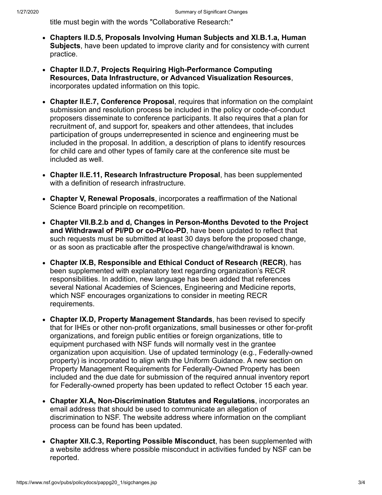title must begin with the words "Collaborative Research:"

- **Chapters II.D.5, Proposals Involving Human Subjects and XI.B.1.a, Human Subjects**, have been updated to improve clarity and for consistency with current practice.
- **Chapter II.D.7, Projects Requiring High-Performance Computing Resources, Data Infrastructure, or Advanced Visualization Resources**, incorporates updated information on this topic.
- **Chapter II.E.7, Conference Proposal**, requires that information on the complaint submission and resolution process be included in the policy or code-of-conduct proposers disseminate to conference participants. It also requires that a plan for recruitment of, and support for, speakers and other attendees, that includes participation of groups underrepresented in science and engineering must be included in the proposal. In addition, a description of plans to identify resources for child care and other types of family care at the conference site must be included as well.
- **Chapter II.E.11, Research Infrastructure Proposal**, has been supplemented with a definition of research infrastructure.
- **Chapter V, Renewal Proposals**, incorporates a reaffirmation of the National Science Board principle on recompetition.
- **Chapter VII.B.2.b and d, Changes in Person-Months Devoted to the Project and Withdrawal of PI/PD or co-PI/co-PD**, have been updated to reflect that such requests must be submitted at least 30 days before the proposed change, or as soon as practicable after the prospective change/withdrawal is known.
- **Chapter IX.B, Responsible and Ethical Conduct of Research (RECR)**, has been supplemented with explanatory text regarding organization's RECR responsibilities. In addition, new language has been added that references several National Academies of Sciences, Engineering and Medicine reports, which NSF encourages organizations to consider in meeting RECR requirements.
- **Chapter IX.D, Property Management Standards**, has been revised to specify that for IHEs or other non-profit organizations, small businesses or other for-profit organizations, and foreign public entities or foreign organizations, title to equipment purchased with NSF funds will normally vest in the grantee organization upon acquisition. Use of updated terminology (e.g., Federally-owned property) is incorporated to align with the Uniform Guidance. A new section on Property Management Requirements for Federally-Owned Property has been included and the due date for submission of the required annual inventory report for Federally-owned property has been updated to reflect October 15 each year.
- **Chapter XI.A, Non-Discrimination Statutes and Regulations**, incorporates an email address that should be used to communicate an allegation of discrimination to NSF. The website address where information on the compliant process can be found has been updated.
- **Chapter XII.C.3, Reporting Possible Misconduct**, has been supplemented with a website address where possible misconduct in activities funded by NSF can be reported.